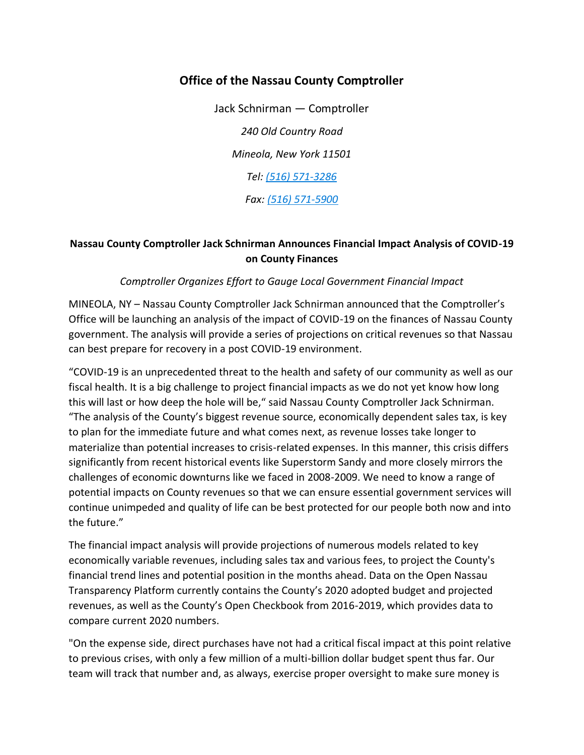## **Office of the Nassau County Comptroller**

Jack Schnirman — Comptroller *240 Old Country Road Mineola, New York 11501 Tel: [\(516\) 571-3286](tel:(516)%20571-3286) Fax: [\(516\) 571-5900](tel:(516)%20571-5900)*

## **Nassau County Comptroller Jack Schnirman Announces Financial Impact Analysis of COVID-19 on County Finances**

## *Comptroller Organizes Effort to Gauge Local Government Financial Impact*

MINEOLA, NY – Nassau County Comptroller Jack Schnirman announced that the Comptroller's Office will be launching an analysis of the impact of COVID-19 on the finances of Nassau County government. The analysis will provide a series of projections on critical revenues so that Nassau can best prepare for recovery in a post COVID-19 environment.

"COVID-19 is an unprecedented threat to the health and safety of our community as well as our fiscal health. It is a big challenge to project financial impacts as we do not yet know how long this will last or how deep the hole will be," said Nassau County Comptroller Jack Schnirman. "The analysis of the County's biggest revenue source, economically dependent sales tax, is key to plan for the immediate future and what comes next, as revenue losses take longer to materialize than potential increases to crisis-related expenses. In this manner, this crisis differs significantly from recent historical events like Superstorm Sandy and more closely mirrors the challenges of economic downturns like we faced in 2008-2009. We need to know a range of potential impacts on County revenues so that we can ensure essential government services will continue unimpeded and quality of life can be best protected for our people both now and into the future."

The financial impact analysis will provide projections of numerous models related to key economically variable revenues, including sales tax and various fees, to project the County's financial trend lines and potential position in the months ahead. Data on the Open Nassau Transparency Platform currently contains the County's 2020 adopted budget and projected revenues, as well as the County's Open Checkbook from 2016-2019, which provides data to compare current 2020 numbers.

"On the expense side, direct purchases have not had a critical fiscal impact at this point relative to previous crises, with only a few million of a multi-billion dollar budget spent thus far. Our team will track that number and, as always, exercise proper oversight to make sure money is